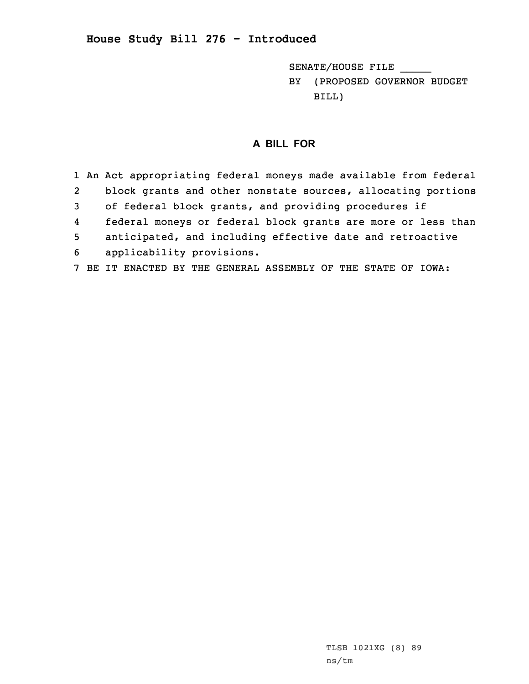## **House Study Bill 276 - Introduced**

SENATE/HOUSE FILE \_\_\_\_\_ BY (PROPOSED GOVERNOR BUDGET BILL)

## **A BILL FOR**

1 An Act appropriating federal moneys made available from federal 2 block grants and other nonstate sources, allocating portions 3 of federal block grants, and providing procedures if 4 federal moneys or federal block grants are more or less than 5 anticipated, and including effective date and retroactive 6 applicability provisions. 7 BE IT ENACTED BY THE GENERAL ASSEMBLY OF THE STATE OF IOWA: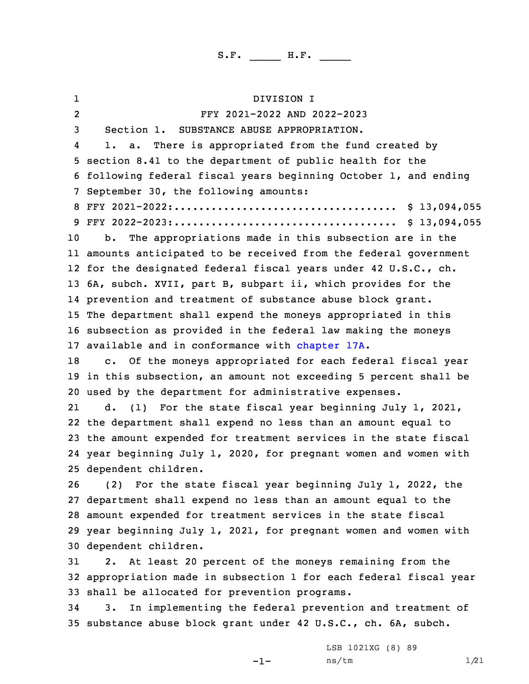1 DIVISION I 2 FFY 2021-2022 AND 2022-2023 Section 1. SUBSTANCE ABUSE APPROPRIATION. 4 1. a. There is appropriated from the fund created by section 8.41 to the department of public health for the following federal fiscal years beginning October 1, and ending September 30, the following amounts: FFY 2021-2022:.................................... \$ 13,094,055 FFY 2022-2023:.................................... \$ 13,094,055 b. The appropriations made in this subsection are in the amounts anticipated to be received from the federal government for the designated federal fiscal years under 42 U.S.C., ch. 6A, subch. XVII, part B, subpart ii, which provides for the prevention and treatment of substance abuse block grant. The department shall expend the moneys appropriated in this subsection as provided in the federal law making the moneys available and in conformance with [chapter](https://www.legis.iowa.gov/docs/code/2021/17A.pdf) 17A. 18 c. Of the moneys appropriated for each federal fiscal year in this subsection, an amount not exceeding 5 percent shall be used by the department for administrative expenses. 21 d. (1) For the state fiscal year beginning July 1, 2021, the department shall expend no less than an amount equal to the amount expended for treatment services in the state fiscal year beginning July 1, 2020, for pregnant women and women with dependent children. (2) For the state fiscal year beginning July 1, 2022, the department shall expend no less than an amount equal to the amount expended for treatment services in the state fiscal year beginning July 1, 2021, for pregnant women and women with dependent children. 2. At least 20 percent of the moneys remaining from the appropriation made in subsection 1 for each federal fiscal year shall be allocated for prevention programs. 3. In implementing the federal prevention and treatment of substance abuse block grant under 42 U.S.C., ch. 6A, subch.

-1-

LSB 1021XG (8) 89 ns/tm 1/21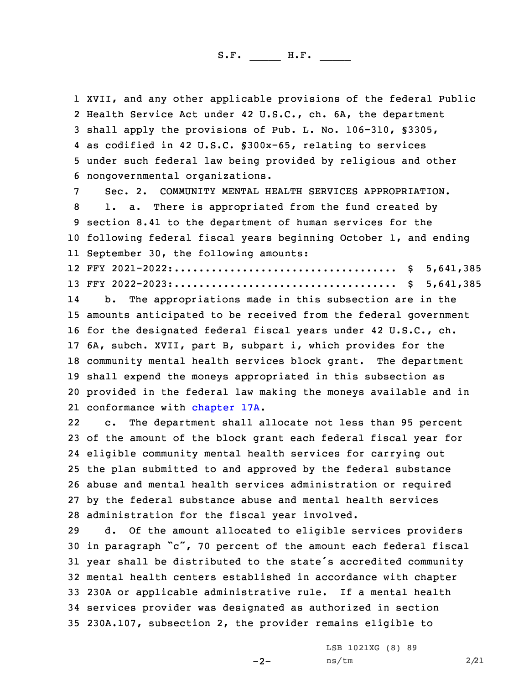XVII, and any other applicable provisions of the federal Public Health Service Act under 42 U.S.C., ch. 6A, the department shall apply the provisions of Pub. L. No. 106-310, §3305, as codified in 42 U.S.C. §300x-65, relating to services under such federal law being provided by religious and other nongovernmental organizations.

 Sec. 2. COMMUNITY MENTAL HEALTH SERVICES APPROPRIATION. 1. a. There is appropriated from the fund created by section 8.41 to the department of human services for the following federal fiscal years beginning October 1, and ending September 30, the following amounts:

12 FFY 2021-2022:.................................... \$ 5,641,385 13 FFY 2022-2023:.................................... \$ 5,641,385

14 b. The appropriations made in this subsection are in the amounts anticipated to be received from the federal government for the designated federal fiscal years under 42 U.S.C., ch. 6A, subch. XVII, part B, subpart i, which provides for the community mental health services block grant. The department shall expend the moneys appropriated in this subsection as provided in the federal law making the moneys available and in 21 conformance with [chapter](https://www.legis.iowa.gov/docs/code/2021/17A.pdf) 17A.

22 c. The department shall allocate not less than 95 percent of the amount of the block grant each federal fiscal year for eligible community mental health services for carrying out the plan submitted to and approved by the federal substance abuse and mental health services administration or required by the federal substance abuse and mental health services administration for the fiscal year involved.

 d. Of the amount allocated to eligible services providers in paragraph "c", 70 percent of the amount each federal fiscal year shall be distributed to the state's accredited community mental health centers established in accordance with chapter 230A or applicable administrative rule. If <sup>a</sup> mental health services provider was designated as authorized in section 230A.107, subsection 2, the provider remains eligible to

 $-2-$ 

LSB 1021XG (8) 89 ns/tm 2/21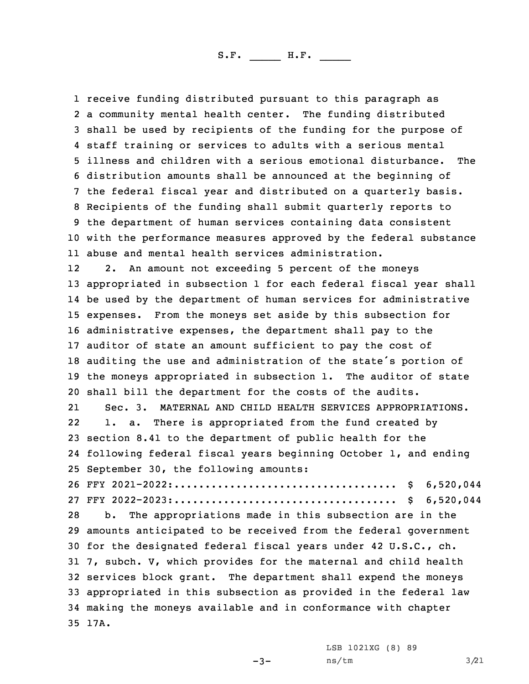receive funding distributed pursuant to this paragraph as <sup>a</sup> community mental health center. The funding distributed shall be used by recipients of the funding for the purpose of staff training or services to adults with <sup>a</sup> serious mental illness and children with <sup>a</sup> serious emotional disturbance. The distribution amounts shall be announced at the beginning of the federal fiscal year and distributed on <sup>a</sup> quarterly basis. Recipients of the funding shall submit quarterly reports to the department of human services containing data consistent with the performance measures approved by the federal substance abuse and mental health services administration. 12 2. An amount not exceeding 5 percent of the moneys appropriated in subsection 1 for each federal fiscal year shall be used by the department of human services for administrative expenses. From the moneys set aside by this subsection for administrative expenses, the department shall pay to the auditor of state an amount sufficient to pay the cost of auditing the use and administration of the state's portion of the moneys appropriated in subsection 1. The auditor of state shall bill the department for the costs of the audits. 21 Sec. 3. MATERNAL AND CHILD HEALTH SERVICES APPROPRIATIONS. 22 1. a. There is appropriated from the fund created by section 8.41 to the department of public health for the following federal fiscal years beginning October 1, and ending September 30, the following amounts: FFY 2021-2022:.................................... \$ 6,520,044 FFY 2022-2023:.................................... \$ 6,520,044 b. The appropriations made in this subsection are in the amounts anticipated to be received from the federal government for the designated federal fiscal years under 42 U.S.C., ch. 7, subch. V, which provides for the maternal and child health services block grant. The department shall expend the moneys appropriated in this subsection as provided in the federal law making the moneys available and in conformance with chapter 35 17A.

 $-3-$ 

LSB 1021XG (8) 89 ns/tm 3/21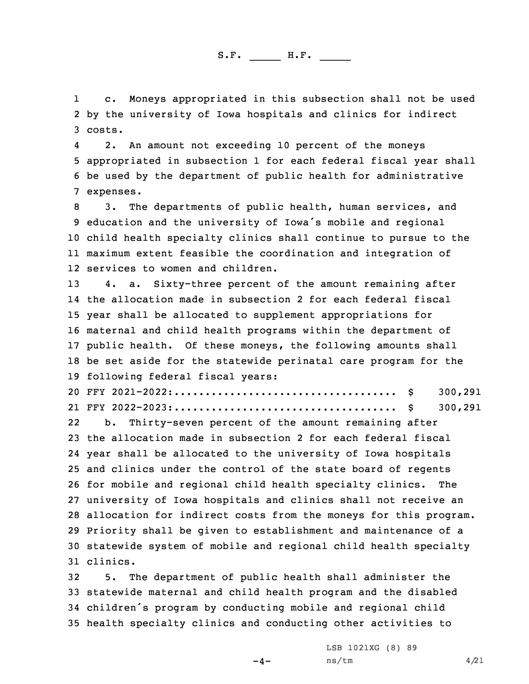1 c. Moneys appropriated in this subsection shall not be used 2 by the university of Iowa hospitals and clinics for indirect 3 costs.

4 2. An amount not exceeding 10 percent of the moneys 5 appropriated in subsection 1 for each federal fiscal year shall 6 be used by the department of public health for administrative 7 expenses.

 3. The departments of public health, human services, and education and the university of Iowa's mobile and regional child health specialty clinics shall continue to pursue to the maximum extent feasible the coordination and integration of services to women and children.

 4. a. Sixty-three percent of the amount remaining after the allocation made in subsection 2 for each federal fiscal year shall be allocated to supplement appropriations for maternal and child health programs within the department of public health. Of these moneys, the following amounts shall be set aside for the statewide perinatal care program for the following federal fiscal years:

20 FFY 2021-2022:.................................... \$ 300,291 21 FFY 2022-2023:.................................... \$ 300,291

22 b. Thirty-seven percent of the amount remaining after the allocation made in subsection 2 for each federal fiscal year shall be allocated to the university of Iowa hospitals and clinics under the control of the state board of regents for mobile and regional child health specialty clinics. The university of Iowa hospitals and clinics shall not receive an allocation for indirect costs from the moneys for this program. Priority shall be given to establishment and maintenance of <sup>a</sup> statewide system of mobile and regional child health specialty 31 clinics.

 5. The department of public health shall administer the statewide maternal and child health program and the disabled children's program by conducting mobile and regional child health specialty clinics and conducting other activities to

 $-4-$ 

LSB 1021XG (8) 89 ns/tm 4/21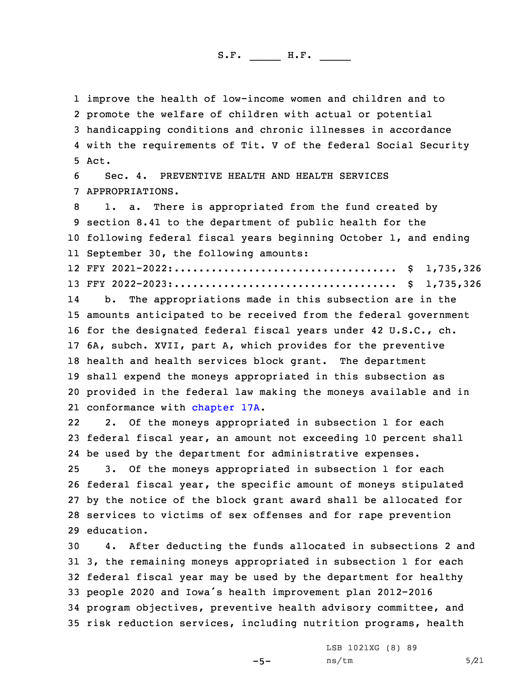improve the health of low-income women and children and to promote the welfare of children with actual or potential handicapping conditions and chronic illnesses in accordance with the requirements of Tit. <sup>V</sup> of the federal Social Security 5 Act.

6 Sec. 4. PREVENTIVE HEALTH AND HEALTH SERVICES 7 APPROPRIATIONS.

 1. a. There is appropriated from the fund created by section 8.41 to the department of public health for the following federal fiscal years beginning October 1, and ending September 30, the following amounts:

12 FFY 2021-2022:.................................... \$ 1,735,326 13 FFY 2022-2023:.................................... \$ 1,735,326

14 b. The appropriations made in this subsection are in the amounts anticipated to be received from the federal government for the designated federal fiscal years under 42 U.S.C., ch. 6A, subch. XVII, part A, which provides for the preventive health and health services block grant. The department shall expend the moneys appropriated in this subsection as provided in the federal law making the moneys available and in 21 conformance with [chapter](https://www.legis.iowa.gov/docs/code/2021/17A.pdf) 17A.

22 2. Of the moneys appropriated in subsection 1 for each federal fiscal year, an amount not exceeding 10 percent shall be used by the department for administrative expenses. 3. Of the moneys appropriated in subsection 1 for each federal fiscal year, the specific amount of moneys stipulated by the notice of the block grant award shall be allocated for services to victims of sex offenses and for rape prevention education.

 4. After deducting the funds allocated in subsections 2 and 3, the remaining moneys appropriated in subsection 1 for each federal fiscal year may be used by the department for healthy people <sup>2020</sup> and Iowa's health improvement plan 2012-2016 program objectives, preventive health advisory committee, and risk reduction services, including nutrition programs, health

-5-

LSB 1021XG (8) 89  $ns/tm$  5/21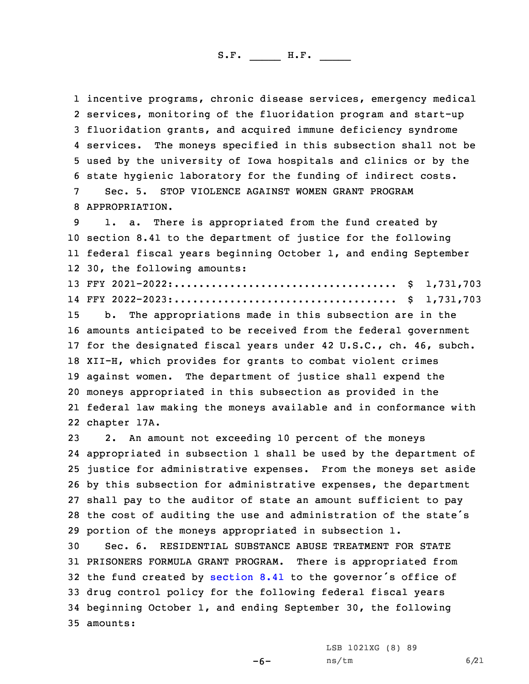incentive programs, chronic disease services, emergency medical services, monitoring of the fluoridation program and start-up fluoridation grants, and acquired immune deficiency syndrome 4 services. The moneys specified in this subsection shall not be used by the university of Iowa hospitals and clinics or by the state hygienic laboratory for the funding of indirect costs. Sec. 5. STOP VIOLENCE AGAINST WOMEN GRANT PROGRAM

8 APPROPRIATION.

 1. a. There is appropriated from the fund created by section 8.41 to the department of justice for the following federal fiscal years beginning October 1, and ending September 30, the following amounts:

13 FFY 2021-2022:.................................... \$ 1,731,703 14 FFY 2022-2023:.................................... \$ 1,731,703

 b. The appropriations made in this subsection are in the amounts anticipated to be received from the federal government for the designated fiscal years under 42 U.S.C., ch. 46, subch. XII-H, which provides for grants to combat violent crimes against women. The department of justice shall expend the moneys appropriated in this subsection as provided in the federal law making the moneys available and in conformance with chapter 17A.

 2. An amount not exceeding 10 percent of the moneys appropriated in subsection 1 shall be used by the department of justice for administrative expenses. From the moneys set aside by this subsection for administrative expenses, the department shall pay to the auditor of state an amount sufficient to pay the cost of auditing the use and administration of the state's portion of the moneys appropriated in subsection 1.

 Sec. 6. RESIDENTIAL SUBSTANCE ABUSE TREATMENT FOR STATE PRISONERS FORMULA GRANT PROGRAM. There is appropriated from the fund created by [section](https://www.legis.iowa.gov/docs/code/2021/8.41.pdf) 8.41 to the governor's office of drug control policy for the following federal fiscal years beginning October 1, and ending September 30, the following 35 amounts:

 $-6-$ 

LSB 1021XG (8) 89 ns/tm 6/21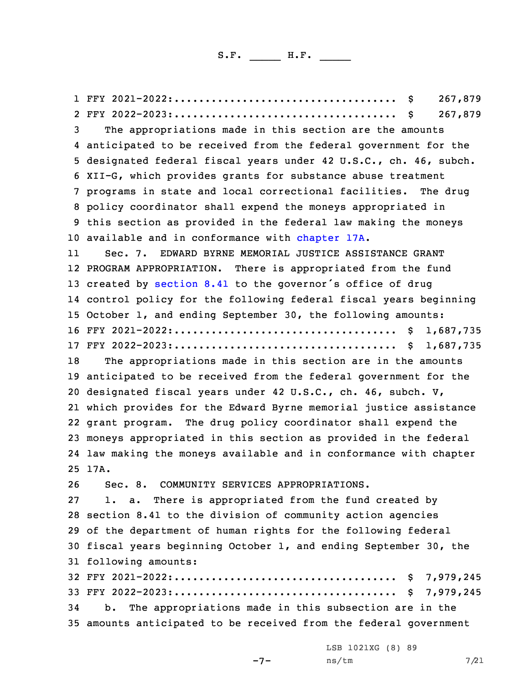FFY 2021-2022:.................................... \$ 267,879 FFY 2022-2023:.................................... \$ 267,879 The appropriations made in this section are the amounts anticipated to be received from the federal government for the designated federal fiscal years under 42 U.S.C., ch. 46, subch. XII-G, which provides grants for substance abuse treatment programs in state and local correctional facilities. The drug policy coordinator shall expend the moneys appropriated in this section as provided in the federal law making the moneys available and in conformance with [chapter](https://www.legis.iowa.gov/docs/code/2021/17A.pdf) 17A. 11 Sec. 7. EDWARD BYRNE MEMORIAL JUSTICE ASSISTANCE GRANT PROGRAM APPROPRIATION. There is appropriated from the fund 13 created by [section](https://www.legis.iowa.gov/docs/code/2021/8.41.pdf) 8.41 to the governor's office of drug control policy for the following federal fiscal years beginning October 1, and ending September 30, the following amounts: FFY 2021-2022:.................................... \$ 1,687,735 FFY 2022-2023:.................................... \$ 1,687,735 The appropriations made in this section are in the amounts anticipated to be received from the federal government for the designated fiscal years under 42 U.S.C., ch. 46, subch. V, which provides for the Edward Byrne memorial justice assistance grant program. The drug policy coordinator shall expend the moneys appropriated in this section as provided in the federal law making the moneys available and in conformance with chapter 25 17A. Sec. 8. COMMUNITY SERVICES APPROPRIATIONS. 1. a. There is appropriated from the fund created by section 8.41 to the division of community action agencies of the department of human rights for the following federal fiscal years beginning October 1, and ending September 30, the following amounts: FFY 2021-2022:.................................... \$ 7,979,245 FFY 2022-2023:.................................... \$ 7,979,245 b. The appropriations made in this subsection are in the amounts anticipated to be received from the federal government

 $-7-$ 

LSB 1021XG (8) 89 ns/tm 7/21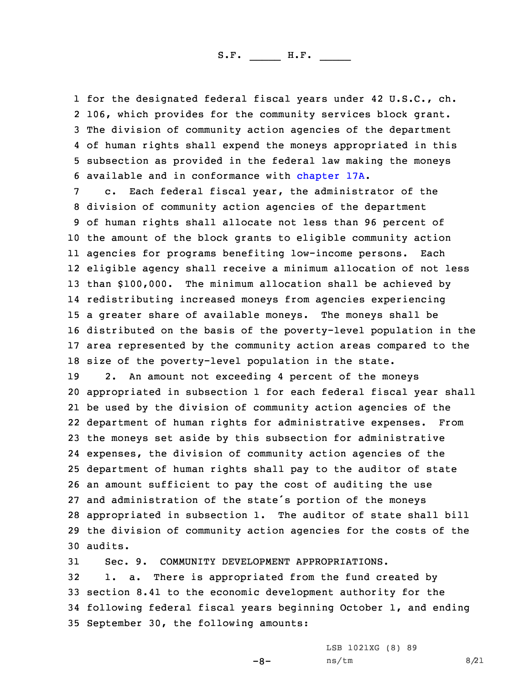for the designated federal fiscal years under 42 U.S.C., ch. 106, which provides for the community services block grant. The division of community action agencies of the department of human rights shall expend the moneys appropriated in this subsection as provided in the federal law making the moneys available and in conformance with [chapter](https://www.legis.iowa.gov/docs/code/2021/17A.pdf) 17A.

 c. Each federal fiscal year, the administrator of the division of community action agencies of the department of human rights shall allocate not less than 96 percent of the amount of the block grants to eligible community action agencies for programs benefiting low-income persons. Each eligible agency shall receive <sup>a</sup> minimum allocation of not less than \$100,000. The minimum allocation shall be achieved by redistributing increased moneys from agencies experiencing <sup>a</sup> greater share of available moneys. The moneys shall be distributed on the basis of the poverty-level population in the area represented by the community action areas compared to the size of the poverty-level population in the state.

 2. An amount not exceeding 4 percent of the moneys appropriated in subsection 1 for each federal fiscal year shall be used by the division of community action agencies of the department of human rights for administrative expenses. From the moneys set aside by this subsection for administrative expenses, the division of community action agencies of the department of human rights shall pay to the auditor of state an amount sufficient to pay the cost of auditing the use and administration of the state's portion of the moneys appropriated in subsection 1. The auditor of state shall bill the division of community action agencies for the costs of the 30 audits.

 Sec. 9. COMMUNITY DEVELOPMENT APPROPRIATIONS. 1. a. There is appropriated from the fund created by section 8.41 to the economic development authority for the following federal fiscal years beginning October 1, and ending September 30, the following amounts:

-8-

LSB 1021XG (8) 89 ns/tm 8/21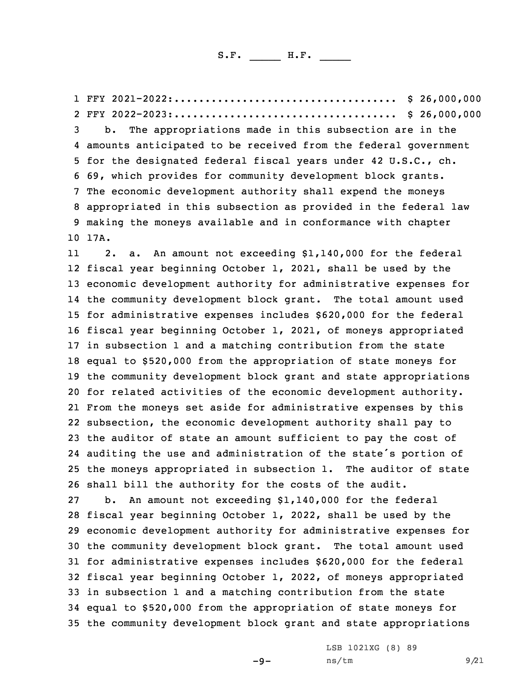FFY 2021-2022:.................................... \$ 26,000,000 FFY 2022-2023:.................................... \$ 26,000,000 b. The appropriations made in this subsection are in the amounts anticipated to be received from the federal government for the designated federal fiscal years under 42 U.S.C., ch. 69, which provides for community development block grants. The economic development authority shall expend the moneys appropriated in this subsection as provided in the federal law making the moneys available and in conformance with chapter 10 17A. 11 2. a. An amount not exceeding \$1,140,000 for the federal fiscal year beginning October 1, 2021, shall be used by the economic development authority for administrative expenses for the community development block grant. The total amount used for administrative expenses includes \$620,000 for the federal fiscal year beginning October 1, 2021, of moneys appropriated in subsection 1 and <sup>a</sup> matching contribution from the state equal to \$520,000 from the appropriation of state moneys for the community development block grant and state appropriations for related activities of the economic development authority. From the moneys set aside for administrative expenses by this subsection, the economic development authority shall pay to the auditor of state an amount sufficient to pay the cost of auditing the use and administration of the state's portion of the moneys appropriated in subsection 1. The auditor of state shall bill the authority for the costs of the audit. b. An amount not exceeding \$1,140,000 for the federal fiscal year beginning October 1, 2022, shall be used by the economic development authority for administrative expenses for the community development block grant. The total amount used for administrative expenses includes \$620,000 for the federal fiscal year beginning October 1, 2022, of moneys appropriated in subsection 1 and <sup>a</sup> matching contribution from the state equal to \$520,000 from the appropriation of state moneys for the community development block grant and state appropriations

 $-9-$ 

LSB 1021XG (8) 89 ns/tm 9/21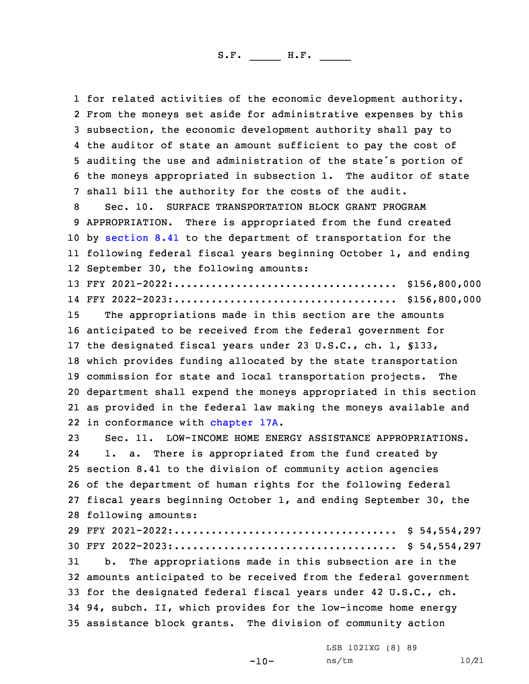for related activities of the economic development authority. From the moneys set aside for administrative expenses by this subsection, the economic development authority shall pay to the auditor of state an amount sufficient to pay the cost of auditing the use and administration of the state's portion of the moneys appropriated in subsection 1. The auditor of state shall bill the authority for the costs of the audit. Sec. 10. SURFACE TRANSPORTATION BLOCK GRANT PROGRAM APPROPRIATION. There is appropriated from the fund created by [section](https://www.legis.iowa.gov/docs/code/2021/8.41.pdf) 8.41 to the department of transportation for the following federal fiscal years beginning October 1, and ending September 30, the following amounts: FFY 2021-2022:.................................... \$156,800,000 FFY 2022-2023:.................................... \$156,800,000 The appropriations made in this section are the amounts anticipated to be received from the federal government for the designated fiscal years under 23 U.S.C., ch. 1, §133, which provides funding allocated by the state transportation commission for state and local transportation projects. The department shall expend the moneys appropriated in this section as provided in the federal law making the moneys available and in conformance with [chapter](https://www.legis.iowa.gov/docs/code/2021/17A.pdf) 17A. Sec. 11. LOW-INCOME HOME ENERGY ASSISTANCE APPROPRIATIONS. 24 1. a. There is appropriated from the fund created by section 8.41 to the division of community action agencies of the department of human rights for the following federal fiscal years beginning October 1, and ending September 30, the following amounts: FFY 2021-2022:.................................... \$ 54,554,297 FFY 2022-2023:.................................... \$ 54,554,297 b. The appropriations made in this subsection are in the amounts anticipated to be received from the federal government for the designated federal fiscal years under 42 U.S.C., ch. 94, subch. II, which provides for the low-income home energy assistance block grants. The division of community action

> LSB 1021XG (8) 89 ns/tm 10/21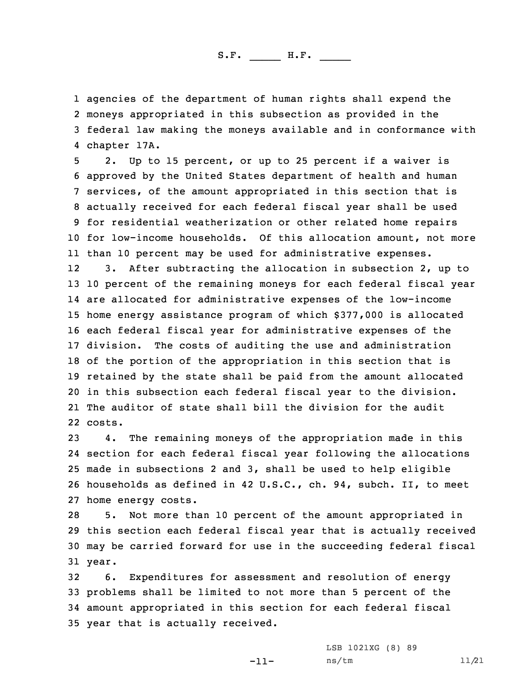agencies of the department of human rights shall expend the moneys appropriated in this subsection as provided in the federal law making the moneys available and in conformance with chapter 17A.

 2. Up to 15 percent, or up to 25 percent if <sup>a</sup> waiver is approved by the United States department of health and human services, of the amount appropriated in this section that is actually received for each federal fiscal year shall be used for residential weatherization or other related home repairs for low-income households. Of this allocation amount, not more than 10 percent may be used for administrative expenses. 12 3. After subtracting the allocation in subsection 2, up to 10 percent of the remaining moneys for each federal fiscal year are allocated for administrative expenses of the low-income home energy assistance program of which \$377,000 is allocated each federal fiscal year for administrative expenses of the division. The costs of auditing the use and administration of the portion of the appropriation in this section that is retained by the state shall be paid from the amount allocated in this subsection each federal fiscal year to the division. The auditor of state shall bill the division for the audit 22 costs.

 4. The remaining moneys of the appropriation made in this section for each federal fiscal year following the allocations made in subsections 2 and 3, shall be used to help eligible households as defined in 42 U.S.C., ch. 94, subch. II, to meet home energy costs.

 5. Not more than 10 percent of the amount appropriated in this section each federal fiscal year that is actually received may be carried forward for use in the succeeding federal fiscal 31 year.

 6. Expenditures for assessment and resolution of energy problems shall be limited to not more than 5 percent of the amount appropriated in this section for each federal fiscal year that is actually received.

-11-

LSB 1021XG (8) 89 ns/tm 11/21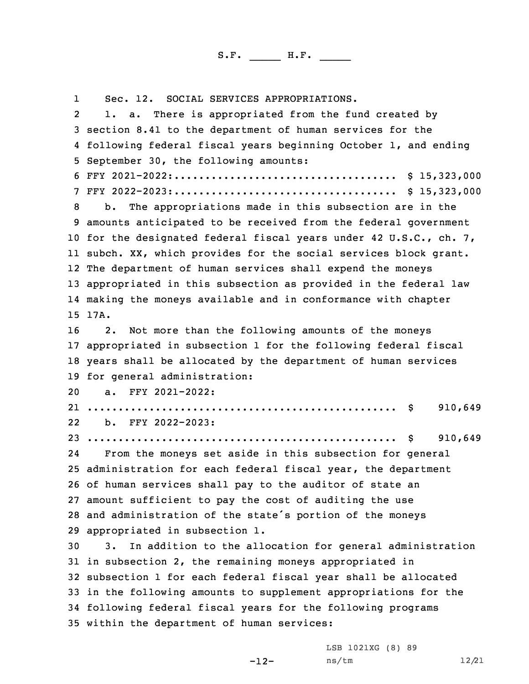1 Sec. 12. SOCIAL SERVICES APPROPRIATIONS. 2 1. a. There is appropriated from the fund created by section 8.41 to the department of human services for the following federal fiscal years beginning October 1, and ending September 30, the following amounts: FFY 2021-2022:.................................... \$ 15,323,000 FFY 2022-2023:.................................... \$ 15,323,000 b. The appropriations made in this subsection are in the amounts anticipated to be received from the federal government for the designated federal fiscal years under 42 U.S.C., ch. 7, subch. XX, which provides for the social services block grant. The department of human services shall expend the moneys appropriated in this subsection as provided in the federal law making the moneys available and in conformance with chapter 15 17A. 2. Not more than the following amounts of the moneys appropriated in subsection 1 for the following federal fiscal years shall be allocated by the department of human services for general administration: a. FFY 2021-2022: .................................................. \$ 910,649 22 b. FFY 2022-2023: .................................................. \$ 910,649 24 From the moneys set aside in this subsection for general administration for each federal fiscal year, the department of human services shall pay to the auditor of state an amount sufficient to pay the cost of auditing the use and administration of the state's portion of the moneys appropriated in subsection 1. 3. In addition to the allocation for general administration in subsection 2, the remaining moneys appropriated in subsection 1 for each federal fiscal year shall be allocated in the following amounts to supplement appropriations for the following federal fiscal years for the following programs within the department of human services:

-12-

LSB 1021XG (8) 89 ns/tm 12/21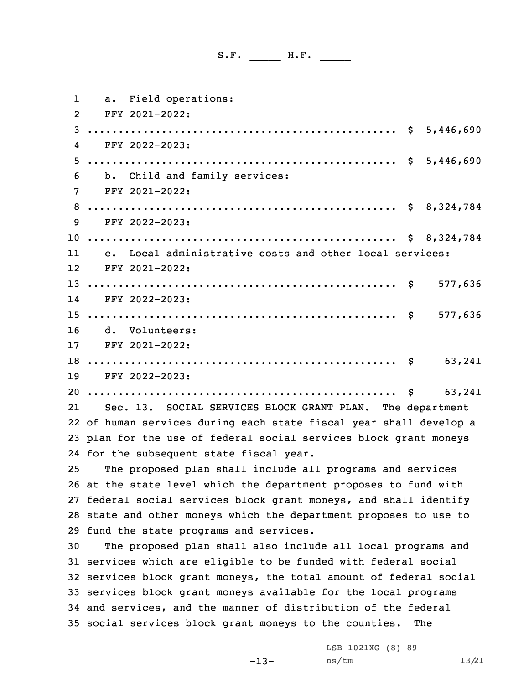| ı               | a. Field operations:                                               |               |
|-----------------|--------------------------------------------------------------------|---------------|
| $\overline{2}$  | FFY 2021-2022:                                                     |               |
| 3               |                                                                    |               |
| 4               | FFY 2022-2023:                                                     |               |
| 5.              |                                                                    |               |
| 6               | b. Child and family services:                                      |               |
| 7               | FFY 2021-2022:                                                     |               |
| 8               |                                                                    |               |
| 9               | FFY 2022-2023:                                                     |               |
|                 |                                                                    |               |
| 11              | c. Local administrative costs and other local services:            |               |
| 12              | FFY 2021-2022:                                                     |               |
|                 |                                                                    | \$<br>577,636 |
| 14              | FFY 2022-2023:                                                     |               |
|                 |                                                                    | 577,636       |
| 16              | d. Volunteers:                                                     |               |
| 17 <sup>2</sup> | FFY 2021-2022:                                                     |               |
|                 |                                                                    | 63,241        |
|                 | 19 FFY 2022-2023:                                                  |               |
|                 |                                                                    | 63,241        |
| 21              | Sec. 13. SOCIAL SERVICES BLOCK GRANT PLAN. The department          |               |
|                 | 22 of human services during each state fiscal year shall develop a |               |
|                 | 23 plan for the use of federal social services block grant moneys  |               |
|                 | 24 for the subsequent state fiscal year.                           |               |
| 25              | The proposed plan shall include all programs and services          |               |
|                 | 26 at the state level which the department proposes to fund with   |               |
|                 | 27 federal social services block grant moneys, and shall identify  |               |
|                 | 28 state and other moneys which the department proposes to use to  |               |
|                 | 29 fund the state programs and services.                           |               |

 The proposed plan shall also include all local programs and services which are eligible to be funded with federal social services block grant moneys, the total amount of federal social services block grant moneys available for the local programs and services, and the manner of distribution of the federal social services block grant moneys to the counties. The

-13-

LSB 1021XG (8) 89 ns/tm 13/21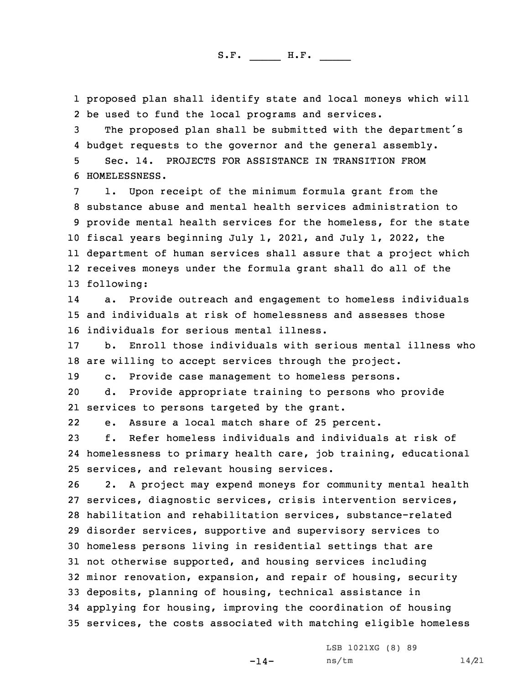1 proposed plan shall identify state and local moneys which will 2 be used to fund the local programs and services.

 The proposed plan shall be submitted with the department's budget requests to the governor and the general assembly. Sec. 14. PROJECTS FOR ASSISTANCE IN TRANSITION FROM HOMELESSNESS.

 1. Upon receipt of the minimum formula grant from the substance abuse and mental health services administration to provide mental health services for the homeless, for the state fiscal years beginning July 1, 2021, and July 1, 2022, the department of human services shall assure that <sup>a</sup> project which receives moneys under the formula grant shall do all of the following:

14 a. Provide outreach and engagement to homeless individuals 15 and individuals at risk of homelessness and assesses those 16 individuals for serious mental illness.

17 b. Enroll those individuals with serious mental illness who 18 are willing to accept services through the project.

19 c. Provide case management to homeless persons.

20 d. Provide appropriate training to persons who provide 21 services to persons targeted by the grant.

22e. Assure <sup>a</sup> local match share of 25 percent.

23 f. Refer homeless individuals and individuals at risk of 24 homelessness to primary health care, job training, educational 25 services, and relevant housing services.

 2. <sup>A</sup> project may expend moneys for community mental health services, diagnostic services, crisis intervention services, habilitation and rehabilitation services, substance-related disorder services, supportive and supervisory services to homeless persons living in residential settings that are not otherwise supported, and housing services including minor renovation, expansion, and repair of housing, security deposits, planning of housing, technical assistance in applying for housing, improving the coordination of housing services, the costs associated with matching eligible homeless

-14-

LSB 1021XG (8) 89 ns/tm 14/21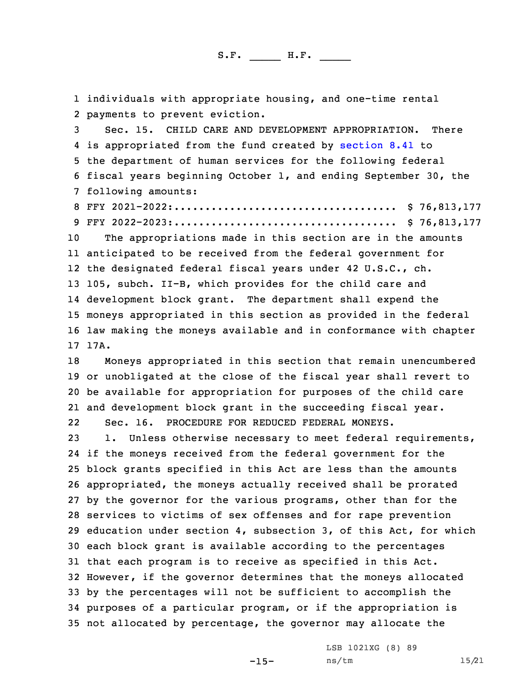individuals with appropriate housing, and one-time rental payments to prevent eviction. Sec. 15. CHILD CARE AND DEVELOPMENT APPROPRIATION. There is appropriated from the fund created by [section](https://www.legis.iowa.gov/docs/code/2021/8.41.pdf) 8.41 to the department of human services for the following federal fiscal years beginning October 1, and ending September 30, the following amounts: FFY 2021-2022:.................................... \$ 76,813,177 FFY 2022-2023:.................................... \$ 76,813,177 The appropriations made in this section are in the amounts anticipated to be received from the federal government for the designated federal fiscal years under 42 U.S.C., ch. 105, subch. II-B, which provides for the child care and development block grant. The department shall expend the moneys appropriated in this section as provided in the federal law making the moneys available and in conformance with chapter 17 17A. Moneys appropriated in this section that remain unencumbered or unobligated at the close of the fiscal year shall revert to be available for appropriation for purposes of the child care and development block grant in the succeeding fiscal year. 22 Sec. 16. PROCEDURE FOR REDUCED FEDERAL MONEYS. 1. Unless otherwise necessary to meet federal requirements, if the moneys received from the federal government for the block grants specified in this Act are less than the amounts appropriated, the moneys actually received shall be prorated by the governor for the various programs, other than for the services to victims of sex offenses and for rape prevention education under section 4, subsection 3, of this Act, for which each block grant is available according to the percentages that each program is to receive as specified in this Act. However, if the governor determines that the moneys allocated by the percentages will not be sufficient to accomplish the purposes of <sup>a</sup> particular program, or if the appropriation is not allocated by percentage, the governor may allocate the

-15-

LSB 1021XG (8) 89 ns/tm 15/21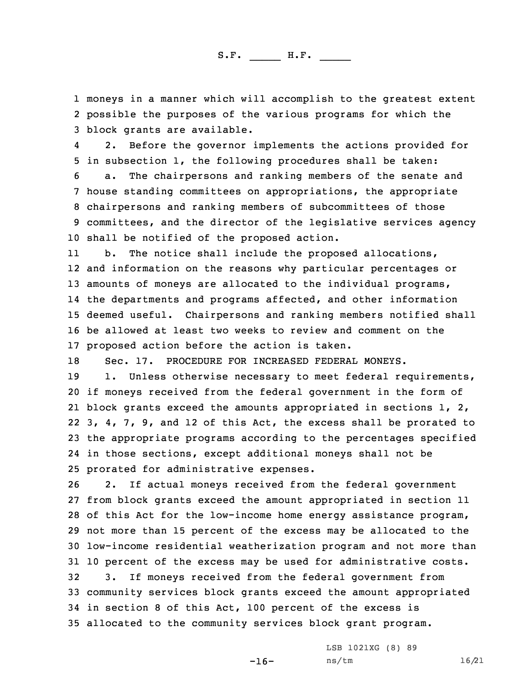1 moneys in <sup>a</sup> manner which will accomplish to the greatest extent 2 possible the purposes of the various programs for which the 3 block grants are available.

4 2. Before the governor implements the actions provided for 5 in subsection 1, the following procedures shall be taken:

 a. The chairpersons and ranking members of the senate and house standing committees on appropriations, the appropriate chairpersons and ranking members of subcommittees of those committees, and the director of the legislative services agency shall be notified of the proposed action.

11 b. The notice shall include the proposed allocations, and information on the reasons why particular percentages or 13 amounts of moneys are allocated to the individual programs, the departments and programs affected, and other information deemed useful. Chairpersons and ranking members notified shall be allowed at least two weeks to review and comment on the proposed action before the action is taken.

18 Sec. 17. PROCEDURE FOR INCREASED FEDERAL MONEYS.

19 1. Unless otherwise necessary to meet federal requirements, if moneys received from the federal government in the form of block grants exceed the amounts appropriated in sections 1, 2, 3, 4, 7, 9, and 12 of this Act, the excess shall be prorated to the appropriate programs according to the percentages specified in those sections, except additional moneys shall not be prorated for administrative expenses.

 2. If actual moneys received from the federal government from block grants exceed the amount appropriated in section 11 of this Act for the low-income home energy assistance program, not more than 15 percent of the excess may be allocated to the low-income residential weatherization program and not more than 10 percent of the excess may be used for administrative costs. 3. If moneys received from the federal government from community services block grants exceed the amount appropriated in section 8 of this Act, 100 percent of the excess is allocated to the community services block grant program.

-16-

LSB 1021XG (8) 89 ns/tm 16/21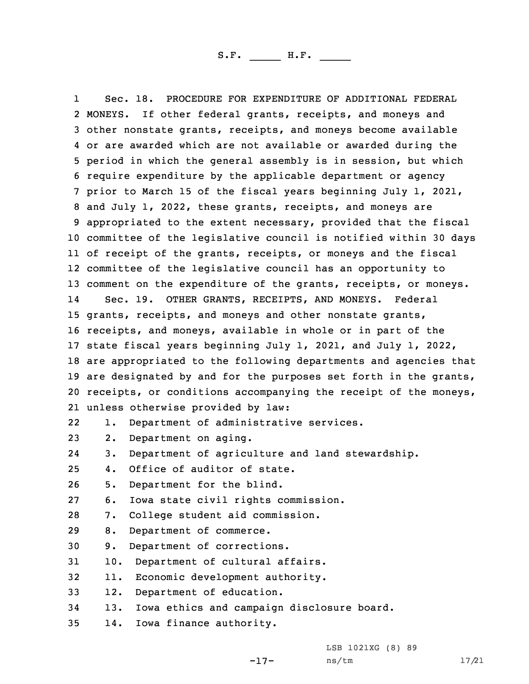1 Sec. 18. PROCEDURE FOR EXPENDITURE OF ADDITIONAL FEDERAL MONEYS. If other federal grants, receipts, and moneys and other nonstate grants, receipts, and moneys become available or are awarded which are not available or awarded during the period in which the general assembly is in session, but which require expenditure by the applicable department or agency prior to March 15 of the fiscal years beginning July 1, 2021, and July 1, 2022, these grants, receipts, and moneys are appropriated to the extent necessary, provided that the fiscal committee of the legislative council is notified within 30 days of receipt of the grants, receipts, or moneys and the fiscal committee of the legislative council has an opportunity to 13 comment on the expenditure of the grants, receipts, or moneys. 14 Sec. 19. OTHER GRANTS, RECEIPTS, AND MONEYS. Federal grants, receipts, and moneys and other nonstate grants, receipts, and moneys, available in whole or in part of the state fiscal years beginning July 1, 2021, and July 1, 2022, are appropriated to the following departments and agencies that 19 are designated by and for the purposes set forth in the grants, receipts, or conditions accompanying the receipt of the moneys, unless otherwise provided by law: 22 1. Department of administrative services. 2. Department on aging. 24 3. Department of agriculture and land stewardship. 4. Office of auditor of state. 5. Department for the blind. 6. Iowa state civil rights commission. 7. College student aid commission. 8. Department of commerce. 9. Department of corrections. 10. Department of cultural affairs. 11. Economic development authority. 12. Department of education. 13. Iowa ethics and campaign disclosure board. 14. Iowa finance authority.

LSB 1021XG (8) 89

ns/tm 17/21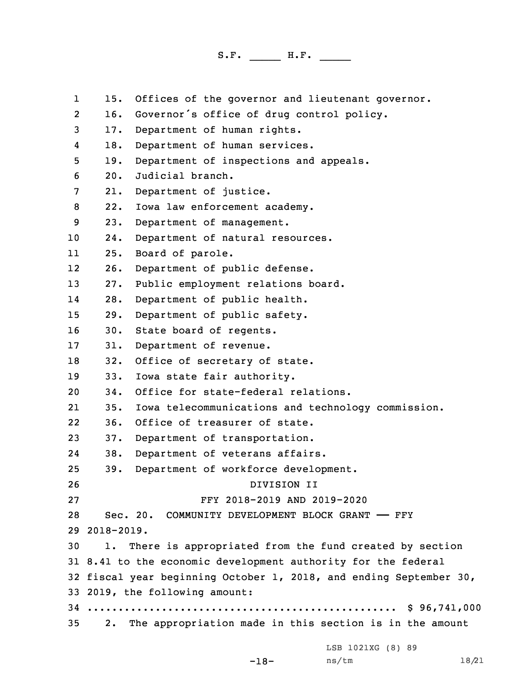1 15. Offices of the governor and lieutenant governor. 2 16. Governor's office of drug control policy. 3 17. Department of human rights. 4 18. Department of human services. 5 19. Department of inspections and appeals. 6 20. Judicial branch. 7 21. Department of justice. 8 22. Iowa law enforcement academy. 9 23. Department of management. 10 24. Department of natural resources. 11 25. Board of parole. 12 26. Department of public defense. 13 27. Public employment relations board. 14 28. Department of public health. 15 29. Department of public safety. 16 30. State board of regents. 17 31. Department of revenue. 18 32. Office of secretary of state. 19 33. Iowa state fair authority. 20 34. Office for state-federal relations. 21 35. Iowa telecommunications and technology commission. 22 36. Office of treasurer of state. 23 37. Department of transportation. 24 38. Department of veterans affairs. 25 39. Department of workforce development. 26 DIVISION II 27 FFY 2018-2019 AND 2019-2020 28 Sec. 20. COMMUNITY DEVELOPMENT BLOCK GRANT —— FFY 29 2018-2019. 30 1. There is appropriated from the fund created by section 31 8.41 to the economic development authority for the federal 32 fiscal year beginning October 1, 2018, and ending September 30, 33 2019, the following amount: 34 .................................................. \$ 96,741,000 35 2. The appropriation made in this section is in the amount LSB 1021XG (8) 89

ns/tm 18/21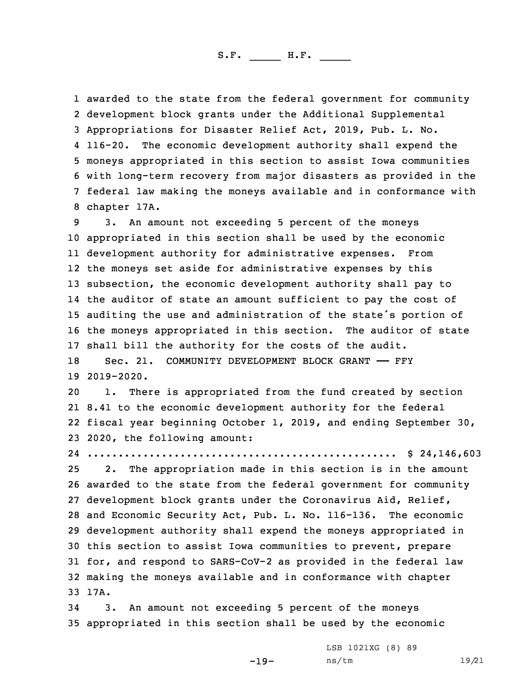awarded to the state from the federal government for community development block grants under the Additional Supplemental Appropriations for Disaster Relief Act, 2019, Pub. L. No.  $4 116 - 20.$ The economic development authority shall expend the moneys appropriated in this section to assist Iowa communities with long-term recovery from major disasters as provided in the federal law making the moneys available and in conformance with chapter 17A.

 3. An amount not exceeding 5 percent of the moneys appropriated in this section shall be used by the economic development authority for administrative expenses. From the moneys set aside for administrative expenses by this subsection, the economic development authority shall pay to the auditor of state an amount sufficient to pay the cost of auditing the use and administration of the state's portion of the moneys appropriated in this section. The auditor of state shall bill the authority for the costs of the audit. 18 Sec. 21. COMMUNITY DEVELOPMENT BLOCK GRANT - FFY

19 2019-2020.

 1. There is appropriated from the fund created by section 8.41 to the economic development authority for the federal fiscal year beginning October 1, 2019, and ending September 30, 2020, the following amount:

24 .................................................. \$ 24,146,603

 2. The appropriation made in this section is in the amount awarded to the state from the federal government for community development block grants under the Coronavirus Aid, Relief, and Economic Security Act, Pub. L. No. 116-136. The economic development authority shall expend the moneys appropriated in this section to assist Iowa communities to prevent, prepare for, and respond to SARS-CoV-2 as provided in the federal law making the moneys available and in conformance with chapter 33 17A.

34 3. An amount not exceeding 5 percent of the moneys 35 appropriated in this section shall be used by the economic

-19-

LSB 1021XG (8) 89 ns/tm 19/21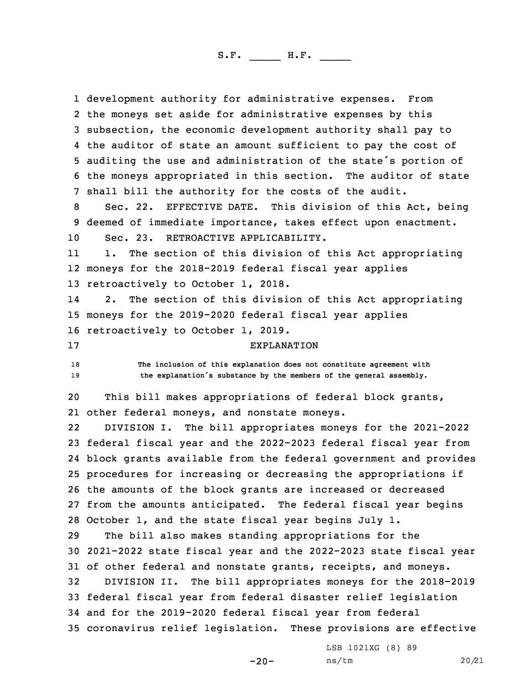development authority for administrative expenses. From the moneys set aside for administrative expenses by this subsection, the economic development authority shall pay to the auditor of state an amount sufficient to pay the cost of auditing the use and administration of the state's portion of the moneys appropriated in this section. The auditor of state shall bill the authority for the costs of the audit. Sec. 22. EFFECTIVE DATE. This division of this Act, being deemed of immediate importance, takes effect upon enactment. Sec. 23. RETROACTIVE APPLICABILITY. 11 1. The section of this division of this Act appropriating moneys for the 2018-2019 federal fiscal year applies retroactively to October 1, 2018. 14 2. The section of this division of this Act appropriating moneys for the 2019-2020 federal fiscal year applies retroactively to October 1, 2019. EXPLANATION **The inclusion of this explanation does not constitute agreement with the explanation's substance by the members of the general assembly.** This bill makes appropriations of federal block grants, other federal moneys, and nonstate moneys. 22 DIVISION I. The bill appropriates moneys for the 2021-2022 federal fiscal year and the 2022-2023 federal fiscal year from block grants available from the federal government and provides procedures for increasing or decreasing the appropriations if the amounts of the block grants are increased or decreased from the amounts anticipated. The federal fiscal year begins October 1, and the state fiscal year begins July 1. The bill also makes standing appropriations for the 2021-2022 state fiscal year and the 2022-2023 state fiscal year 31 of other federal and nonstate grants, receipts, and moneys. DIVISION II. The bill appropriates moneys for the 2018-2019 federal fiscal year from federal disaster relief legislation and for the 2019-2020 federal fiscal year from federal coronavirus relief legislation. These provisions are effective

 $-20-$ 

LSB 1021XG (8) 89 ns/tm 20/21